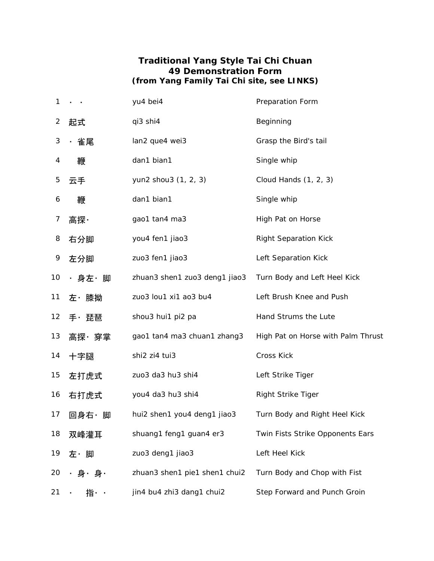## **Traditional Yang Style Tai Chi Chuan 49 Demonstration Form (from Yang Family Tai Chi site, see LINKS)**

| 1               |       | yu4 bei4                      | Preparation Form                   |
|-----------------|-------|-------------------------------|------------------------------------|
| 2               | 起式    | qi3 shi4                      | Beginning                          |
| 3               | ・雀尾   | lan2 que4 wei3                | Grasp the Bird's tail              |
| 4               | 鞭     | dan1 bian1                    | Single whip                        |
| 5               | 云手    | yun2 shou3 (1, 2, 3)          | Cloud Hands (1, 2, 3)              |
| 6               | 鞭     | dan1 bian1                    | Single whip                        |
| 7               | 高探·   | gao1 tan4 ma3                 | High Pat on Horse                  |
| 8               | 右分脚   | you4 fen1 jiao3               | <b>Right Separation Kick</b>       |
| 9               | 左分脚   | zuo3 fen1 jiao3               | Left Separation Kick               |
| 10 <sup>°</sup> | ・身左・脚 | zhuan3 shen1 zuo3 deng1 jiao3 | Turn Body and Left Heel Kick       |
| 11              | 左・膝拗  | zuo3 lou1 xi1 ao3 bu4         | Left Brush Knee and Push           |
| 12 <sub>2</sub> | 手・琵琶  | shou3 hui1 pi2 pa             | Hand Strums the Lute               |
| 13              | 高探・穿掌 | gao1 tan4 ma3 chuan1 zhang3   | High Pat on Horse with Palm Thrust |
| 14              | 十字腿   | shi2 zi4 tui3                 | Cross Kick                         |
| 15              | 左打虎式  | zuo3 da3 hu3 shi4             | Left Strike Tiger                  |
| 16              | 右打虎式  | you4 da3 hu3 shi4             | <b>Right Strike Tiger</b>          |
| 17              | 回身右・脚 | hui2 shen1 you4 deng1 jiao3   | Turn Body and Right Heel Kick      |
| 18              | 双峰灌耳  | shuang1 feng1 guan4 er3       | Twin Fists Strike Opponents Ears   |
| 19              | 左・脚   | zuo3 deng1 jiao3              | Left Heel Kick                     |
| 20              | ・身・身・ | zhuan3 shen1 pie1 shen1 chui2 | Turn Body and Chop with Fist       |
| 21              | 指・・   | jin4 bu4 zhi3 dang1 chui2     | Step Forward and Punch Groin       |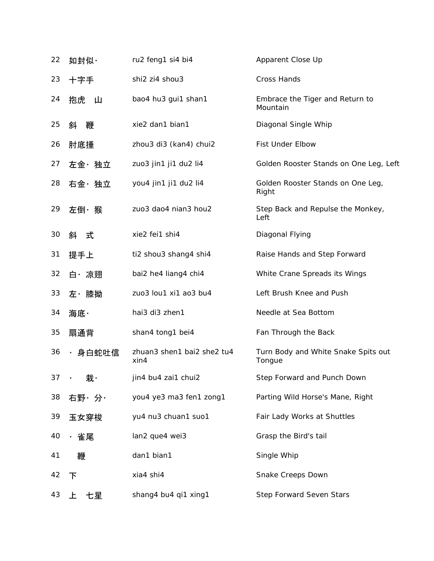| 22 | 如封似·                 | ru2 feng1 si4 bi4                     | Apparent Close Up                             |
|----|----------------------|---------------------------------------|-----------------------------------------------|
| 23 | 十字手                  | shi2 zi4 shou3                        | <b>Cross Hands</b>                            |
| 24 | 抱虎<br>் ப            | bao4 hu3 gui1 shan1                   | Embrace the Tiger and Return to<br>Mountain   |
| 25 | 鞭<br>斜               | xie2 dan1 bian1                       | Diagonal Single Whip                          |
| 26 | 肘底捶                  | zhou3 di3 (kan4) chui2                | Fist Under Elbow                              |
| 27 | 左金・独立                | zuo3 jin1 ji1 du2 li4                 | Golden Rooster Stands on One Leg, Left        |
| 28 | 右金・独立                | you4 jin1 ji1 du2 li4                 | Golden Rooster Stands on One Leg,<br>Right    |
| 29 | 左倒・猴                 | zuo3 dao4 nian3 hou2                  | Step Back and Repulse the Monkey,<br>Left     |
| 30 | 斜 式                  | xie2 fei1 shi4                        | Diagonal Flying                               |
| 31 | 提手上                  | ti2 shou3 shang4 shi4                 | Raise Hands and Step Forward                  |
| 32 | 白・凉翅                 | bai2 he4 liang4 chi4                  | White Crane Spreads its Wings                 |
| 33 | 左・膝拗                 | zuo3 lou1 xi1 ao3 bu4                 | Left Brush Knee and Push                      |
| 34 | 海底・                  | hai3 di3 zhen1                        | Needle at Sea Bottom                          |
| 35 | 扇通背                  | shan4 tong1 bei4                      | Fan Through the Back                          |
| 36 | ・身白蛇吐信               | zhuan3 shen1 bai2 she2 tu4<br>$x$ in4 | Turn Body and White Snake Spits out<br>Tongue |
| 37 | 栽・<br>$\blacksquare$ | jin4 bu4 zai1 chui2                   | Step Forward and Punch Down                   |
| 38 | 右野・分・                | you4 ye3 ma3 fen1 zong1               | Parting Wild Horse's Mane, Right              |
| 39 | 玉女穿梭                 | yu4 nu3 chuan1 suo1                   | Fair Lady Works at Shuttles                   |
| 40 | ・雀尾                  | lan2 que4 wei3                        | Grasp the Bird's tail                         |
| 41 | 鞭                    | dan1 bian1                            | Single Whip                                   |
| 42 | 下                    | xia4 shi4                             | Snake Creeps Down                             |
| 43 | 七星<br>ᆂ              | shang4 bu4 qi1 xing1                  | Step Forward Seven Stars                      |